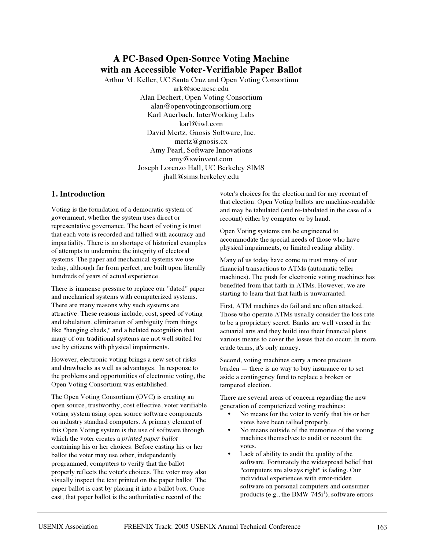# **A PC-Based Open-Source Voting Machine with an Accessible Voter-Verifiable Paper Ballot**

Arthur M. Keller, UC Santa Cruz and Open Voting Consortium ark@soe.ucsc.edu Alan Dechert, Open Voting Consortium alan@openvotingconsortium.org Karl Auerbach, InterWorking Labs karl@iwl.com David Mertz, Gnosis Software, Inc. mertz@gnosis.cx Amy Pearl, Software Innovations amy@swinvent.com Joseph Lorenzo Hall, UC Berkeley SIMS jhall@sims.berkeley.edu

# **1. Introduction**

Voting is the foundation of a democratic system of government, whether the system uses direct or representative governance. The heart of voting is trust that each vote is recorded and tallied with accuracy and impartiality. There is no shortage of historical examples of attempts to undermine the integrity of electoral systems. The paper and mechanical systems we use today, although far from perfect, are built upon literally hundreds of years of actual experience.

There is immense pressure to replace our "dated" paper and mechanical systems with computerized systems. There are many reasons why such systems are attractive. These reasons include, cost, speed of voting and tabulation, elimination of ambiguity from things like "hanging chads," and a belated recognition that many of our traditional systems are not well suited for use by citizens with physical impairments.

However, electronic voting brings a new set of risks and drawbacks as well as advantages. In response to the problems and opportunities of electronic voting, the Open Voting Consortium was established.

The Open Voting Consortium (OVC) is creating an open source, trustworthy, cost effective, voter verifiable voting system using open source software components on industry standard computers. A primary element of this Open Voting system is the use of software through which the voter creates a *printed paper ballot* containing his or her choices. Before casting his or her ballot the voter may use other, independently programmed, computers to verify that the ballot properly reflects the voter's choices. The voter may also visually inspect the text printed on the paper ballot. The paper ballot is cast by placing it into a ballot box. Once cast, that paper ballot is the authoritative record of the

voter's choices for the election and for any recount of that election. Open Voting ballots are machine-readable and may be tabulated (and re-tabulated in the case of a recount) either by computer or by hand.

Open Voting systems can be engineered to accommodate the special needs of those who have physical impairments, or limited reading ability.

Many of us today have come to trust many of our financial transactions to ATMs (automatic teller machines). The push for electronic voting machines has benefited from that faith in ATMs. However, we are starting to learn that that faith is unwarranted.

First, ATM machines do fail and are often attacked. Those who operate ATMs usually consider the loss rate to be a proprietary secret. Banks are well versed in the actuarial arts and they build into their financial plans various means to cover the losses that do occur. In more crude terms, it's only money.

Second, voting machines carry a more precious burden — there is no way to buy insurance or to set aside a contingency fund to replace a broken or tampered election.

There are several areas of concern regarding the new generation of computerized voting machines:

- No means for the voter to verify that his or her votes have been tallied properly.
- No means outside of the memories of the voting machines themselves to audit or recount the votes.
- Lack of ability to audit the quality of the software. Fortunately the widespread belief that "computers are always right" is fading. Our individual experiences with error-ridden software on personal computers and consumer products (e.g., the BMW  $745i^1$ ), software errors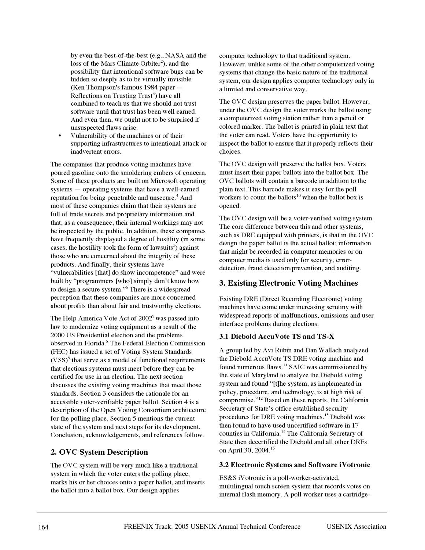by even the best-of-the-best (e.g., NASA and the loss of the Mars Climate Orbiter<sup>2</sup>), and the possibility that intentional software bugs can be hidden so deeply as to be virtually invisible (Ken Thompson's famous 1984 paper — Reflections on Trusting Trust<sup>3</sup>) have all combined to teach us that we should not trust software until that trust has been well earned. And even then, we ought not to be surprised if unsuspected flaws arise.

• Vulnerability of the machines or of their supporting infrastructures to intentional attack or inadvertent errors.

The companies that produce voting machines have poured gasoline onto the smoldering embers of concern. Some of these products are built on Microsoft operating systems — operating systems that have a well-earned reputation for being penetrable and unsecure.<sup>4</sup> And most of these companies claim that their systems are full of trade secrets and proprietary information and that, as a consequence, their internal workings may not be inspected by the public. In addition, these companies have frequently displayed a degree of hostility (in some cases, the hostility took the form of lawsuits<sup>5</sup>) against those who are concerned about the integrity of these products. And finally, their systems have "vulnerabilities [that] do show incompetence" and were built by "programmers [who] simply don't know how to design a secure system."<sup>6</sup> There is a widespread perception that these companies are more concerned about profits than about fair and trustworthy elections.

The Help America Vote Act of  $2002<sup>7</sup>$  was passed into law to modernize voting equipment as a result of the 2000 US Presidential election and the problems observed in Florida.<sup>8</sup> The Federal Election Commission (FEC) has issued a set of Voting System Standards  $(VSS)^9$  that serve as a model of functional requirements that elections systems must meet before they can be certified for use in an election. The next section discusses the existing voting machines that meet those standards. Section 3 considers the rationale for an accessible voter-verifiable paper ballot. Section 4 is a description of the Open Voting Consortium architecture for the polling place. Section 5 mentions the current state of the system and next steps for its development. Conclusion, acknowledgements, and references follow.

# **2. OVC System Description**

The OVC system will be very much like a traditional system in which the voter enters the polling place, marks his or her choices onto a paper ballot, and inserts the ballot into a ballot box. Our design applies

computer technology to that traditional system. However, unlike some of the other computerized voting systems that change the basic nature of the traditional system, our design applies computer technology only in a limited and conservative way.

The OVC design preserves the paper ballot. However, under the OVC design the voter marks the ballot using a computerized voting station rather than a pencil or colored marker. The ballot is printed in plain text that the voter can read. Voters have the opportunity to inspect the ballot to ensure that it properly reflects their choices.

The OVC design will preserve the ballot box. Voters must insert their paper ballots into the ballot box. The OVC ballots will contain a barcode in addition to the plain text. This barcode makes it easy for the poll workers to count the ballots<sup>10</sup> when the ballot box is opened.

The OVC design will be a voter-verified voting system. The core difference between this and other systems, such as DRE equipped with printers, is that in the OVC design the paper ballot is the actual ballot; information that might be recorded in computer memories or on computer media is used only for security, errordetection, fraud detection/prevention, and auditing.

# **3. Existing Electronic Voting Machines**

Existing DRE (Direct Recording Electronic) voting machines have come under increasing scrutiny with widespread reports of malfunctions, omissions and user interface problems during elections.

# **3.1 Diebold AccuVote TS and TS-X**

A group led by Avi Rubin and Dan Wallach analyzed the Diebold AccuVote TS DRE voting machine and found numerous flaws.<sup>11</sup> SAIC was commissioned by the state of Maryland to analyze the Diebold voting system and found "[t]he system, as implemented in policy, procedure, and technology, is at high risk of compromise."<sup>12</sup> Based on these reports, the California Secretary of State's office established security procedures for DRE voting machines.<sup>13</sup> Diebold was then found to have used uncertified software in 17 counties in California.<sup>14</sup> The California Secretary of State then decertified the Diebold and all other DREs on April 30, 2004.<sup>15</sup>

### **3.2 Electronic Systems and Software iVotronic**

ES&S iVotronic is a poll-worker-activated, multilingual touch screen system that records votes on internal flash memory. A poll worker uses a cartridge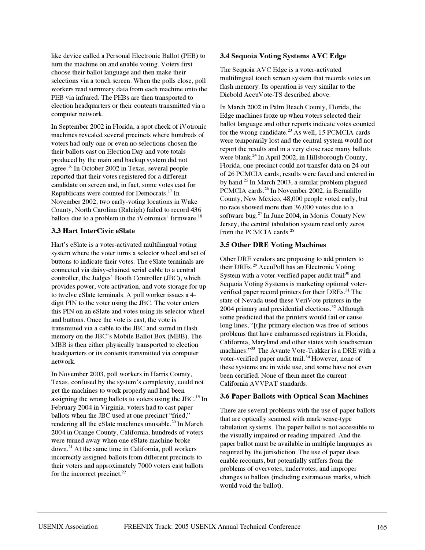like device called a Personal Electronic Ballot (PEB) to turn the machine on and enable voting. Voters first choose their ballot language and then make their selections via a touch screen. When the polls close, poll workers read summary data from each machine onto the PEB via infrared. The PEBs are then transported to election headquarters or their contents transmitted via a computer network.

In September 2002 in Florida, a spot check of iVotronic machines revealed several precincts where hundreds of voters had only one or even no selections chosen the their ballots cast on Election Day and vote totals produced by the main and backup system did not agree.<sup>16</sup> In October 2002 in Texas, several people reported that their votes registered for a different candidate on screen and, in fact, some votes cast for Republicans were counted for Democrats.<sup>17</sup> In November 2002, two early-voting locations in Wake County, North Carolina (Raleigh) failed to record 436 ballots due to a problem in the iVotronics' firmware.<sup>18</sup>

# **3.3 Hart InterCivic eSlate**

Hart's eSlate is a voter-activated multilingual voting system where the voter turns a selector wheel and set of buttons to indicate their votes. The eSlate terminals are connected via daisy-chained serial cable to a central controller, the Judges' Booth Controller (JBC), which provides power, vote activation, and vote storage for up to twelve eSlate terminals. A poll worker issues a 4 digit PIN to the voter using the JBC. The voter enters this PIN on an eSlate and votes using its selector wheel and buttons. Once the vote is cast, the vote is transmitted via a cable to the JBC and stored in flash memory on the JBC's Mobile Ballot Box (MBB). The MBB is then either physically transported to election headquarters or its contents transmitted via computer network.

In November 2003, poll workers in Harris County, Texas, confused by the system's complexity, could not get the machines to work properly and had been assigning the wrong ballots to voters using the JBC.<sup>19</sup> In February 2004 in Virginia, voters had to cast paper ballots when the JBC used at one precinct "fried," rendering all the eSlate machines unusable.<sup>20</sup> In March 2004 in Orange County, California, hundreds of voters were turned away when one eSlate machine broke down.21 At the same time in California, poll workers incorrectly assigned ballots from different precincts to their voters and approximately 7000 voters cast ballots for the incorrect precinct.<sup>22</sup>

### **3.4 Sequoia Voting Systems AVC Edge**

The Sequoia AVC Edge is a voter-activated multilingual touch screen system that records votes on flash memory. Its operation is very similar to the Diebold AccuVote-TS described above.

In March 2002 in Palm Beach County, Florida, the Edge machines froze up when voters selected their ballot language and other reports indicate votes counted for the wrong candidate. $^{23}$  As well, 15 PCMCIA cards were temporarily lost and the central system would not report the results and in a very close race many ballots were blank.<sup>24</sup> In April 2002, in Hillsborough County, Florida, one precinct could not transfer data on 24 out of 26 PCMCIA cards; results were faxed and entered in by hand.25 In March 2003, a similar problem plagued PCMCIA cards.<sup>26</sup> In November 2002, in Bernalillo County, New Mexico, 48,000 people voted early, but no race showed more than 36,000 votes due to a software bug.<sup>27</sup> In June 2004, in Morris County New Jersey, the central tabulation system read only zeros from the PCMCIA cards.<sup>28</sup>

### **3.5 Other DRE Voting Machines**

Other DRE vendors are proposing to add printers to their DREs.<sup>29</sup> AccuPoll has an Electronic Voting System with a voter-verified paper audit trail<sup>30</sup> and Sequoia Voting Systems is marketing optional voterverified paper record printers for their DREs.<sup>31</sup> The state of Nevada used these VeriVote printers in the 2004 primary and presidential elections.<sup>32</sup> Although some predicted that the printers would fail or cause long lines, "[t]he primary election was free of serious problems that have embarrassed registrars in Florida, California, Maryland and other states with touchscreen machines."<sup>33</sup> The Avante Vote-Trakker is a DRE with a voter-verified paper audit trail.<sup>34</sup> However, none of these systems are in wide use, and some have not even been certified. None of them meet the current California AVVPAT standards.

### **3.6 Paper Ballots with Optical Scan Machines**

There are several problems with the use of paper ballots that are optically scanned with mark/sense-type tabulation systems. The paper ballot is not accessible to the visually impaired or reading impaired. And the paper ballot must be available in multiple languages as required by the jurisdiction. The use of paper does enable recounts, but potentially suffers from the problems of overvotes, undervotes, and improper changes to ballots (including extraneous marks, which would void the ballot).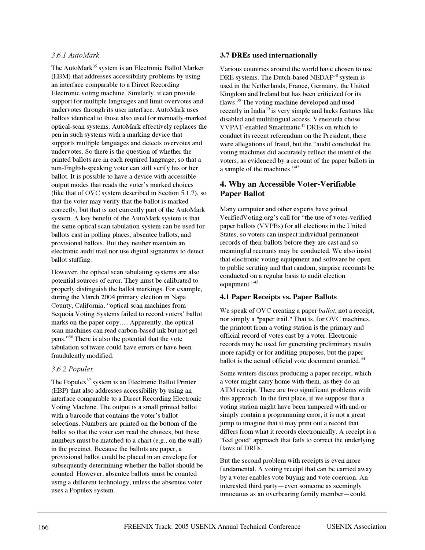# *3.6.1 AutoMark*

The AutoMark<sup>35</sup> system is an Electronic Ballot Marker (EBM) that addresses accessibility problems by using an interface comparable to a Direct Recording Electronic voting machine. Similarly, it can provide support for multiple languages and limit overvotes and undervotes through its user interface. AutoMark uses ballots identical to those also used for manually-marked optical-scan systems. AutoMark effectively replaces the pen in such systems with a marking device that supports multiple languages and detects overvotes and undervotes. So there is the question of whether the printed ballots are in each required language, so that a non-English-speaking voter can still verify his or her ballot. It is possible to have a device with accessible output modes that reads the voter's marked choices (like that of OVC system described in Section 5.1.7), so that the voter may verify that the ballot is marked correctly, but that is not currently part of the AutoMark system. A key benefit of the AutoMark system is that the same optical scan tabulation system can be used for ballots cast in polling places, absentee ballots, and provisional ballots. But they neither maintain an electronic audit trail nor use digital signatures to detect ballot stuffing.

However, the optical scan tabulating systems are also potential sources of error. They must be calibrated to properly distinguish the ballot markings. For example, during the March 2004 primary election in Napa County, California, "optical scan machines from Sequoia Voting Systems failed to record voters' ballot marks on the paper copy…. Apparently, the optical scan machines can read carbon-based ink but not gel pens."<sup>36</sup> There is also the potential that the vote tabulation software could have errors or have been fraudulently modified.

### *3.6.2 Populex*

The Populex<sup>37</sup> system is an Electronic Ballot Printer (EBP) that also addresses accessibility by using an interface comparable to a Direct Recording Electronic Voting Machine. The output is a small printed ballot with a barcode that contains the voter's ballot selections. Numbers are printed on the bottom of the ballot so that the voter can read the choices, but these numbers must be matched to a chart (e.g., on the wall) in the precinct. Because the ballots are paper, a provisional ballot could be placed in an envelope for subsequently determining whether the ballot should be counted. However, absentee ballots must be counted using a different technology, unless the absentee voter uses a Populex system.

### **3.7 DREs used internationally**

Various countries around the world have chosen to use DRE systems. The Dutch-based NEDAP<sup>38</sup> system is used in the Netherlands, France, Germany, the United Kingdom and Ireland but has been criticized for its flaws.<sup>39</sup> The voting machine developed and used recently in India<sup>40</sup> is very simple and lacks features like disabled and multilingual access. Venezuela chose VVPAT-enabled Smartmatic<sup>41</sup> DREs on which to conduct its recent referendum on the President; there were allegations of fraud, but the "audit concluded the voting machines did accurately reflect the intent of the voters, as evidenced by a recount of the paper ballots in a sample of the machines."<sup>42</sup>

# **4. Why an Accessible Voter-Verifiable Paper Ballot**

Many computer and other experts have joined VerifiedVoting.org's call for "the use of voter-verified paper ballots (VVPBs) for all elections in the United States, so voters can inspect individual permanent records of their ballots before they are cast and so meaningful recounts may be conducted. We also insist that electronic voting equipment and software be open to public scrutiny and that random, surprise recounts be conducted on a regular basis to audit election equipment."<sup>43</sup>

### **4.1 Paper Receipts vs. Paper Ballots**

We speak of OVC creating a paper *ballot*, not a receipt, nor simply a "paper trail." That is, for OVC machines, the printout from a voting station is the primary and official record of votes cast by a voter. Electronic records may be used for generating preliminary results more rapidly or for auditing purposes, but the paper ballot is the actual official vote document counted.<sup>44</sup>

Some writers discuss producing a paper receipt, which a voter might carry home with them, as they do an ATM receipt. There are two significant problems with this approach. In the first place, if we suppose that a voting station might have been tampered with and/or simply contain a programming error, it is not a great jump to imagine that it may print out a record that differs from what it records electronically. A receipt is a "feel good" approach that fails to correct the underlying flaws of DREs.

But the second problem with receipts is even more fundamental. A voting receipt that can be carried away by a voter enables vote buying and vote coercion. An interested third party—even someone as seemingly innocuous as an overbearing family member—could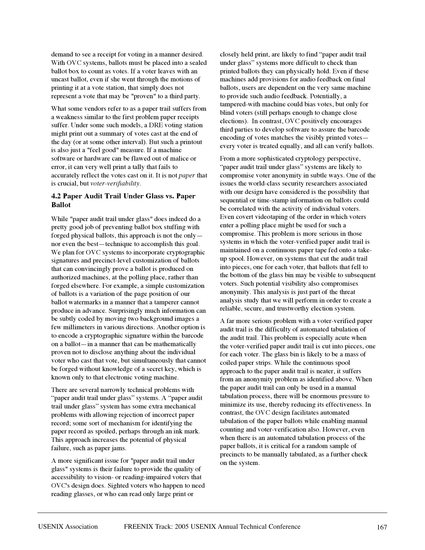demand to see a receipt for voting in a manner desired. With OVC systems, ballots must be placed into a sealed ballot box to count as votes. If a voter leaves with an uncast ballot, even if she went through the motions of printing it at a vote station, that simply does not represent a vote that may be "proven" to a third party.

What some vendors refer to as a paper trail suffers from a weakness similar to the first problem paper receipts suffer. Under some such models, a DRE voting station might print out a summary of votes cast at the end of the day (or at some other interval). But such a printout is also just a "feel good" measure. If a machine software or hardware can be flawed out of malice or error, it can very well print a tally that fails to accurately reflect the votes cast on it. It is not *paper* that is crucial, but *voter-verifiability*.

### **4.2 Paper Audit Trail Under Glass vs. Paper Ballot**

While "paper audit trail under glass" does indeed do a pretty good job of preventing ballot box stuffing with forged physical ballots, this approach is not the only nor even the best—technique to accomplish this goal. We plan for OVC systems to incorporate cryptographic signatures and precinct-level customization of ballots that can convincingly prove a ballot is produced on authorized machines, at the polling place, rather than forged elsewhere. For example, a simple customization of ballots is a variation of the page position of our ballot watermarks in a manner that a tamperer cannot produce in advance. Surprisingly much information can be subtly coded by moving two background images a few millimeters in various directions. Another option is to encode a cryptographic signature within the barcode on a ballot—in a manner that can be mathematically proven not to disclose anything about the individual voter who cast that vote, but simultaneously that cannot be forged without knowledge of a secret key, which is known only to that electronic voting machine.

There are several narrowly technical problems with "paper audit trail under glass" systems. A "paper audit trail under glass" system has some extra mechanical problems with allowing rejection of incorrect paper record; some sort of mechanism for identifying the paper record as spoiled, perhaps through an ink mark. This approach increases the potential of physical failure, such as paper jams.

A more significant issue for "paper audit trail under glass" systems is their failure to provide the quality of accessibility to vision- or reading-impaired voters that OVC's design does. Sighted voters who happen to need reading glasses, or who can read only large print or

closely held print, are likely to find "paper audit trail under glass" systems more difficult to check than printed ballots they can physically hold. Even if these machines add provisions for audio feedback on final ballots, users are dependent on the very same machine to provide such audio feedback. Potentially, a tampered-with machine could bias votes, but only for blind voters (still perhaps enough to change close elections). In contrast, OVC positively encourages third parties to develop software to assure the barcode encoding of votes matches the visibly printed votes every voter is treated equally, and all can verify ballots.

From a more sophisticated cryptology perspective, "paper audit trail under glass" systems are likely to compromise voter anonymity in subtle ways. One of the issues the world-class security researchers associated with our design have considered is the possibility that sequential or time-stamp information on ballots could be correlated with the activity of individual voters. Even covert videotaping of the order in which voters enter a polling place might be used for such a compromise. This problem is more serious in those systems in which the voter-verified paper audit trail is maintained on a continuous paper tape fed onto a takeup spool. However, on systems that cut the audit trail into pieces, one for each voter, that ballots that fell to the bottom of the glass bin may be visible to subsequent voters. Such potential visibility also compromises anonymity. This analysis is just part of the threat analysis study that we will perform in order to create a reliable, secure, and trustworthy election system.

A far more serious problem with a voter-verified paper audit trail is the difficulty of automated tabulation of the audit trail. This problem is especially acute when the voter-verified paper audit trail is cut into pieces, one for each voter. The glass bin is likely to be a mass of coiled paper strips. While the continuous spool approach to the paper audit trail is neater, it suffers from an anonymity problem as identified above. When the paper audit trail can only be used in a manual tabulation process, there will be enormous pressure to minimize its use, thereby reducing its effectiveness. In contrast, the OVC design facilitates automated tabulation of the paper ballots while enabling manual counting and voter-verification also. However, even when there is an automated tabulation process of the paper ballots, it is critical for a random sample of precincts to be manually tabulated, as a further check on the system.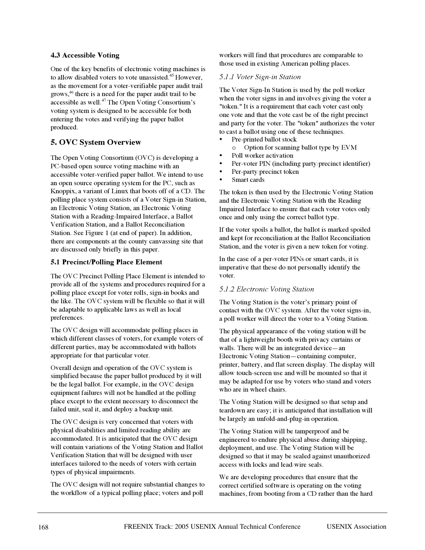# **4.3 Accessible Voting**

One of the key benefits of electronic voting machines is to allow disabled voters to vote unassisted.<sup>45</sup> However, as the movement for a voter-verifiable paper audit trail grows,<sup>46</sup> there is a need for the paper audit trail to be accessible as well.<sup>47</sup> The Open Voting Consortium's voting system is designed to be accessible for both entering the votes and verifying the paper ballot produced.

# **5. OVC System Overview**

The Open Voting Consortium (OVC) is developing a PC-based open source voting machine with an accessible voter-verified paper ballot. We intend to use an open source operating system for the PC, such as Knoppix, a variant of Linux that boots off of a CD. The polling place system consists of a Voter Sign-in Station, an Electronic Voting Station, an Electronic Voting Station with a Reading-Impaired Interface, a Ballot Verification Station, and a Ballot Reconciliation Station. See Figure 1 (at end of paper). In addition, there are components at the county canvassing site that are discussed only briefly in this paper.

### **5.1 Precinct/Polling Place Element**

The OVC Precinct/Polling Place Element is intended to provide all of the systems and procedures required for a polling place except for voter rolls, sign-in books and the like. The OVC system will be flexible so that it will be adaptable to applicable laws as well as local preferences.

The OVC design will accommodate polling places in which different classes of voters, for example voters of different parties, may be accommodated with ballots appropriate for that particular voter.

Overall design and operation of the OVC system is simplified because the paper ballot produced by it will be the legal ballot. For example, in the OVC design equipment failures will not be handled at the polling place except to the extent necessary to disconnect the failed unit, seal it, and deploy a backup unit.

The OVC design is very concerned that voters with physical disabilities and limited reading ability are accommodated. It is anticipated that the OVC design will contain variations of the Voting Station and Ballot Verification Station that will be designed with user interfaces tailored to the needs of voters with certain types of physical impairments.

The OVC design will not require substantial changes to the workflow of a typical polling place; voters and poll

workers will find that procedures are comparable to those used in existing American polling places.

### *5.1.1 Voter Sign-in Station*

The Voter Sign-In Station is used by the poll worker when the voter signs in and involves giving the voter a "token." It is a requirement that each voter cast only one vote and that the vote cast be of the right precinct and party for the voter. The "token" authorizes the voter to cast a ballot using one of these techniques.

- Pre-printed ballot stock
- o Option for scanning ballot type by EVM
- Poll worker activation
- Per-voter PIN (including party/precinct identifier)
- Per-party/precinct token
- Smart cards

The token is then used by the Electronic Voting Station and the Electronic Voting Station with the Reading Impaired Interface to ensure that each voter votes only once and only using the correct ballot type.

If the voter spoils a ballot, the ballot is marked spoiled and kept for reconciliation at the Ballot Reconciliation Station, and the voter is given a new token for voting.

In the case of a per-voter PINs or smart cards, it is imperative that these do not personally identify the voter.

### *5.1.2 Electronic Voting Station*

The Voting Station is the voter's primary point of contact with the OVC system. After the voter signs-in, a poll worker will direct the voter to a Voting Station.

The physical appearance of the voting station will be that of a lightweight booth with privacy curtains or walls. There will be an integrated device—an Electronic Voting Station—containing computer, printer, battery, and flat screen display. The display will allow touch-screen use and will be mounted so that it may be adapted for use by voters who stand and voters who are in wheel chairs.

The Voting Station will be designed so that setup and teardown are easy; it is anticipated that installation will be largely an unfold-and-plug-in operation.

The Voting Station will be tamperproof and be engineered to endure physical abuse during shipping, deployment, and use. The Voting Station will be designed so that it may be sealed against unauthorized access with locks and lead/wire seals.

We are developing procedures that ensure that the correct certified software is operating on the voting machines, from booting from a CD rather than the hard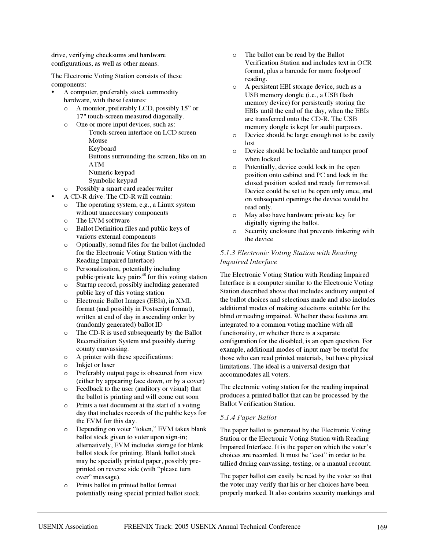drive, verifying checksums and hardware configurations, as well as other means.

The Electronic Voting Station consists of these components:

- A computer, preferably stock commodity hardware, with these features:
	- o A monitor, preferably LCD, possibly 15" or 17" touch-screen measured diagonally.
	- o One or more input devices, such as:
		- Touch-screen interface on LCD screen Mouse
			- Keyboard

Buttons surrounding the screen, like on an ATM

- Numeric keypad
- Symbolic keypad
- o Possibly a smart card reader/writer
- A CD-R drive. The CD-R will contain:
	- o The operating system, e.g., a Linux system without unnecessary components
	- o The EVM software
	- o Ballot Definition files and public keys of various external components
	- o Optionally, sound files for the ballot (included for the Electronic Voting Station with the Reading Impaired Interface)
	- o Personalization, potentially including public/private key pairs<sup>48</sup> for this voting station
	- o Startup record, possibly including generated public key of this voting station
	- o Electronic Ballot Images (EBIs), in XML format (and possibly in Postscript format), written at end of day in ascending order by (randomly generated) ballot ID
	- o The CD-R is used subsequently by the Ballot Reconciliation System and possibly during county canvassing.
	- o A printer with these specifications:
	- o Inkjet or laser
	- o Preferably output page is obscured from view (either by appearing face down, or by a cover)
	- o Feedback to the user (auditory or visual) that the ballot is printing and will come out soon
	- o Prints a test document at the start of a voting day that includes records of the public keys for the EVM for this day.
	- o Depending on voter "token," EVM takes blank ballot stock given to voter upon sign-in; alternatively, EVM includes storage for blank ballot stock for printing. Blank ballot stock may be specially printed paper, possibly preprinted on reverse side (with "please turn over" message).
	- o Prints ballot in printed ballot format potentially using special printed ballot stock.
- o The ballot can be read by the Ballot Verification Station and includes text in OCR format, plus a barcode for more foolproof reading.
- o A persistent EBI storage device, such as a USB memory dongle (i.e., a USB flash memory device) for persistently storing the EBIs until the end of the day, when the EBIs are transferred onto the CD-R. The USB memory dongle is kept for audit purposes.
- o Device should be large enough not to be easily lost
- o Device should be lockable and tamper proof when locked
- o Potentially, device could lock in the open position onto cabinet and PC and lock in the closed position sealed and ready for removal. Device could be set to be open only once, and on subsequent openings the device would be read only.
- o May also have hardware private key for digitally signing the ballot.
- o Security enclosure that prevents tinkering with the device

# *5.1.3 Electronic Voting Station with Reading Impaired Interface*

The Electronic Voting Station with Reading Impaired Interface is a computer similar to the Electronic Voting Station described above that includes auditory output of the ballot choices and selections made and also includes additional modes of making selections suitable for the blind or reading impaired. Whether these features are integrated to a common voting machine with all functionality, or whether there is a separate configuration for the disabled, is an open question. For example, additional modes of input may be useful for those who can read printed materials, but have physical limitations. The ideal is a universal design that accommodates all voters.

The electronic voting station for the reading impaired produces a printed ballot that can be processed by the Ballot Verification Station.

# *5.1.4 Paper Ballot*

The paper ballot is generated by the Electronic Voting Station or the Electronic Voting Station with Reading Impaired Interface. It is the paper on which the voter's choices are recorded. It must be "cast" in order to be tallied during canvassing, testing, or a manual recount.

The paper ballot can easily be read by the voter so that the voter may verify that his or her choices have been properly marked. It also contains security markings and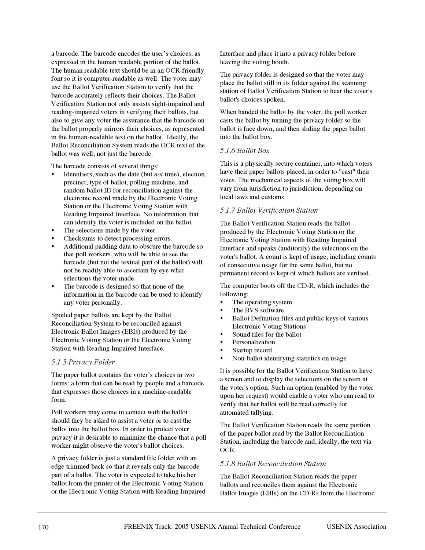a barcode. The barcode encodes the user's choices, as expressed in the human readable portion of the ballot. The human readable text should be in an OCR-friendly font so it is computer-readable as well. The voter may use the Ballot Verification Station to verify that the barcode accurately reflects their choices. The Ballot Verification Station not only assists sight-impaired and reading-impaired voters in verifying their ballots, but also to give any voter the assurance that the barcode on the ballot properly mirrors their choices, as represented in the human-readable text on the ballot. Ideally, the Ballot Reconciliation System reads the OCR text of the ballot was well, not just the barcode.

The barcode consists of several things:

- Identifiers, such as the date (but *not* time), election, precinct, type of ballot, polling machine, and random ballot ID for reconciliation against the electronic record made by the Electronic Voting Station or the Electronic Voting Station with Reading Impaired Interface. No information that can identify the voter is included on the ballot.
- The selections made by the voter.
- Checksums to detect processing errors.
- Additional padding data to obscure the barcode so that poll workers, who will be able to see the barcode (but not the textual part of the ballot) will not be readily able to ascertain by eye what selections the voter made.
- The barcode is designed so that none of the information in the barcode can be used to identify any voter personally.

Spoiled paper ballots are kept by the Ballot Reconciliation System to be reconciled against Electronic Ballot Images (EBIs) produced by the Electronic Voting Station or the Electronic Voting Station with Reading Impaired Interface.

### *5.1.5 Privacy Folder*

The paper ballot contains the voter's choices in two forms: a form that can be read by people and a barcode that expresses those choices in a machine-readable form.

Poll workers may come in contact with the ballot should they be asked to assist a voter or to cast the ballot into the ballot box. In order to protect voter privacy it is desirable to minimize the chance that a poll worker might observe the voter's ballot choices.

A privacy folder is just a standard file folder with an edge trimmed back so that it reveals only the barcode part of a ballot. The voter is expected to take his/her ballot from the printer of the Electronic Voting Station or the Electronic Voting Station with Reading Impaired Interface and place it into a privacy folder before leaving the voting booth.

The privacy folder is designed so that the voter may place the ballot still in its folder against the scanning station of Ballot Verification Station to hear the voter's ballot's choices spoken.

When handed the ballot by the voter, the poll worker casts the ballot by turning the privacy folder so the ballot is face down, and then sliding the paper ballot into the ballot box.

### *5.1.6 Ballot Box*

This is a physically secure container, into which voters have their paper ballots placed, in order to "cast" their votes. The mechanical aspects of the voting box will vary from jurisdiction to jurisdiction, depending on local laws and customs.

### *5.1.7 Ballot Verification Station*

The Ballot Verification Station reads the ballot produced by the Electronic Voting Station or the Electronic Voting Station with Reading Impaired Interface and speaks (auditorily) the selections on the voter's ballot. A count is kept of usage, including counts of consecutive usage for the same ballot, but no permanent record is kept of which ballots are verified.

The computer boots off the CD-R, which includes the following:

- The operating system
- The BVS software
- Ballot Definition files and public keys of various Electronic Voting Stations
- Sound files for the ballot
- **Personalization**
- Startup record
- Non-ballot identifying statistics on usage

It is possible for the Ballot Verification Station to have a screen and to display the selections on the screen at the voter's option. Such an option (enabled by the voter upon her request) would enable a voter who can read to verify that her ballot will be read correctly for automated tallying.

The Ballot Verification Station reads the same portion of the paper ballot read by the Ballot Reconciliation Station, including the barcode and, ideally, the text via OCR.

### *5.1.8 Ballot Reconciliation Station*

The Ballot Reconciliation Station reads the paper ballots and reconciles them against the Electronic Ballot Images (EBIs) on the CD-Rs from the Electronic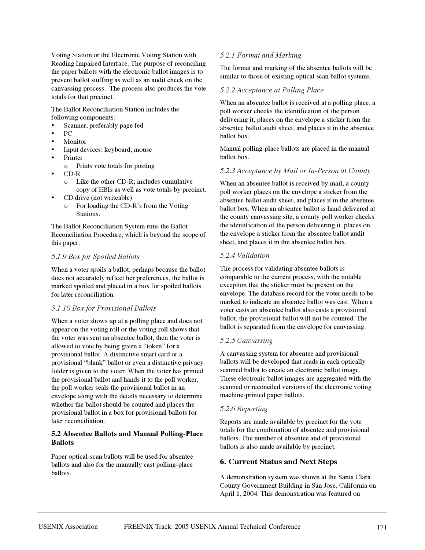Voting Station or the Electronic Voting Station with Reading Impaired Interface. The purpose of reconciling the paper ballots with the electronic ballot images is to prevent ballot stuffing as well as an audit check on the canvassing process. The process also produces the vote totals for that precinct.

The Ballot Reconciliation Station includes the following components:

- Scanner, preferably page fed
- PC
- **Monitor**
- Input devices: keyboard, mouse
- Printer
	- o Prints vote totals for posting
- CD-R
	- o Like the other CD-R; includes cumulative copy of EBIs as well as vote totals by precinct.
- CD drive (not writeable)
	- o For loading the CD-R's from the Voting Stations.

The Ballot Reconciliation System runs the Ballot Reconciliation Procedure, which is beyond the scope of this paper.

### *5.1.9 Box for Spoiled Ballots*

When a voter spoils a ballot, perhaps because the ballot does not accurately reflect her preferences, the ballot is marked spoiled and placed in a box for spoiled ballots for later reconciliation.

# *5.1.10 Box for Provisional Ballots*

When a voter shows up at a polling place and does not appear on the voting roll or the voting roll shows that the voter was sent an absentee ballot, then the voter is allowed to vote by being given a "token" for a provisional ballot. A distinctive smart card or a provisional "blank" ballot or even a distinctive privacy folder is given to the voter. When the voter has printed the provisional ballot and hands it to the poll worker, the poll worker seals the provisional ballot in an envelope along with the details necessary to determine whether the ballot should be counted and places the provisional ballot in a box for provisional ballots for later reconciliation.

# **5.2 Absentee Ballots and Manual Polling-Place Ballots**

Paper optical-scan ballots will be used for absentee ballots and also for the manually cast polling-place ballots.

# *5.2.1 Format and Marking*

The format and marking of the absentee ballots will be similar to those of existing optical scan ballot systems.

### *5.2.2 Acceptance at Polling Place*

When an absentee ballot is received at a polling place, a poll worker checks the identification of the person delivering it, places on the envelope a sticker from the absentee ballot audit sheet, and places it in the absentee ballot box.

Manual polling-place ballots are placed in the manual ballot box.

### *5.2.3 Acceptance by Mail or In-Person at County*

When an absentee ballot is received by mail, a county poll worker places on the envelope a sticker from the absentee ballot audit sheet, and places it in the absentee ballot box. When an absentee ballot is hand delivered at the county canvassing site, a county poll worker checks the identification of the person delivering it, places on the envelope a sticker from the absentee ballot audit sheet, and places it in the absentee ballot box.

### *5.2.4 Validation*

The process for validating absentee ballots is comparable to the current process, with the notable exception that the sticker must be present on the envelope. The database record for the voter needs to be marked to indicate an absentee ballot was cast. When a voter casts an absentee ballot also casts a provisional ballot, the provisional ballot will not be counted. The ballot is separated from the envelope for canvassing.

### *5.2.5 Canvassing*

A canvassing system for absentee and provisional ballots will be developed that reads in each optically scanned ballot to create an electronic ballot image. These electronic ballot images are aggregated with the scanned or reconciled versions of the electronic voting machine-printed paper ballots.

### *5.2.6 Reporting*

Reports are made available by precinct for the vote totals for the combination of absentee and provisional ballots. The number of absentee and of provisional ballots is also made available by precinct.

# **6. Current Status and Next Steps**

A demonstration system was shown at the Santa Clara County Government Building in San Jose, California on April 1, 2004. This demonstration was featured on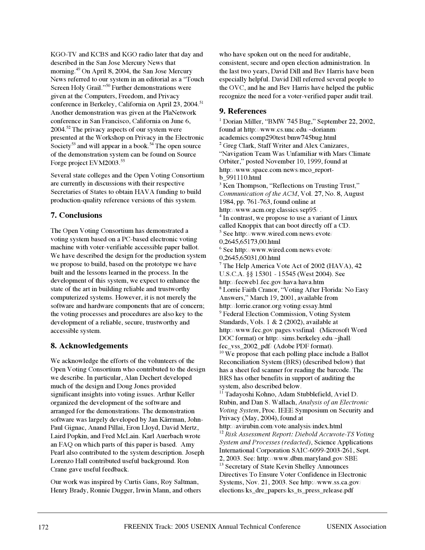KGO-TV and KCBS and KGO radio later that day and described in the San Jose Mercury News that morning.<sup>49</sup> On April 8, 2004, the San Jose Mercury News referred to our system in an editorial as a "Touch Screen Holy Grail."<sup>50</sup> Further demonstrations were given at the Computers, Freedom, and Privacy conference in Berkeley, California on April 23, 2004.<sup>51</sup> Another demonstration was given at the PlaNetwork conference in San Francisco, California on June 6, 2004.<sup>52</sup> The privacy aspects of our system were presented at the Workshop on Privacy in the Electronic Society<sup>53</sup> and will appear in a book.<sup>54</sup> The open source of the demonstration system can be found on Source Forge project EVM2003.<sup>55</sup>

Several state colleges and the Open Voting Consortium are currently in discussions with their respective Secretaries of States to obtain HAVA funding to build production-quality reference versions of this system.

# **7. Conclusions**

The Open Voting Consortium has demonstrated a voting system based on a PC-based electronic voting machine with voter-verifiable accessible paper ballot. We have described the design for the production system we propose to build, based on the prototype we have built and the lessons learned in the process. In the development of this system, we expect to enhance the state of the art in building reliable and trustworthy computerized systems. However, it is not merely the software and hardware components that are of concern; the voting processes and procedures are also key to the development of a reliable, secure, trustworthy and accessible system.

# **8. Acknowledgements**

We acknowledge the efforts of the volunteers of the Open Voting Consortium who contributed to the design we describe. In particular, Alan Dechert developed much of the design and Doug Jones provided significant insights into voting issues. Arthur Keller organized the development of the software and arranged for the demonstrations. The demonstration software was largely developed by Jan Kärrman, John-Paul Gignac, Anand Pillai, Eron Lloyd, David Mertz, Laird Popkin, and Fred McLain. Karl Auerbach wrote an FAQ on which parts of this paper is based. Amy Pearl also contributed to the system description. Joseph Lorenzo Hall contributed useful background. Ron Crane gave useful feedback.

Our work was inspired by Curtis Gans, Roy Saltman, Henry Brady, Ronnie Dugger, Irwin Mann, and others who have spoken out on the need for auditable, consistent, secure and open election administration. In the last two years, David Dill and Bev Harris have been especially helpful. David Dill referred several people to the OVC, and he and Bev Harris have helped the public recognize the need for a voter-verified paper audit trail.

# **9. References**

<sup>1</sup> Dorian Miller, "BMW 745 Bug," September 22, 2002, found at http://www.cs.unc.edu/~dorianm/ academics/comp290test/bmw745bug.html <sup>2</sup> Greg Clark, Staff Writer and Alex Canizares, "Navigation Team Was Unfamiliar with Mars Climate Orbiter," posted November 10, 1999, found at http://www.space.com/news/mco\_reportb\_991110.html <sup>3</sup> Ken Thompson, "Reflections on Trusting Trust*,*" *Communication of the ACM*, Vol. 27, No. 8, August 1984, pp. 761-763, found online at http://www.acm.org/classics/sep95/ . <sup>4</sup> In contrast, we propose to use a variant of Linux called Knoppix that can boot directly off a CD. <sup>5</sup> See http://www.wired.com/news/evote/ 0,2645,65173,00.html <sup>6</sup> See http://www.wired.com/news/evote/ 0,2645,65031,00.html  $<sup>7</sup>$  The Help America Vote Act of 2002 (HAVA), 42</sup> U.S.C.A. §§ 15301 - 15545 (West 2004). See http://fecweb1.fec.gov/hava/hava.htm <sup>8</sup> Lorrie Faith Cranor, "Voting After Florida: No Easy Answers," March 19, 2001, available from http://lorrie.cranor.org/voting/essay.html <sup>9</sup> Federal Election Commission, Voting System Standards, Vols. 1 & 2 (2002), available at http://www.fec.gov/pages/vssfinal/ (Microsoft Word DOC format) or http://sims.berkeley.edu/~jhall/ fec\_vss\_2002\_pdf/ (Adobe PDF format). <sup>10</sup> We propose that each polling place include a Ballot Reconciliation System (BRS) (described below) that has a sheet fed scanner for reading the barcode. The BRS has other benefits in support of auditing the system, also described below. <sup>11</sup> Tadayoshi Kohno, Adam Stubblefield, Aviel D. Rubin, and Dan S. Wallach, *Analysis of an Electronic Voting System*, Proc. IEEE Symposium on Security and Privacy (May, 2004), found at http://avirubin.com/vote/analysis/index.html <sup>12</sup> *Risk Assessment Report: Diebold Accuvote-TS Voting System and Processes (redacted)*, Science Applications International Corporation SAIC-6099-2003-261, Sept. 2, 2003. See: http://www.dbm.maryland.gov/SBE <sup>13</sup> Secretary of State Kevin Shelley Announces Directives To Ensure Voter Confidence in Electronic Systems, Nov. 21, 2003. See http://www.ss.ca.gov/ elections/ks\_dre\_papers/ks\_ts\_press\_release.pdf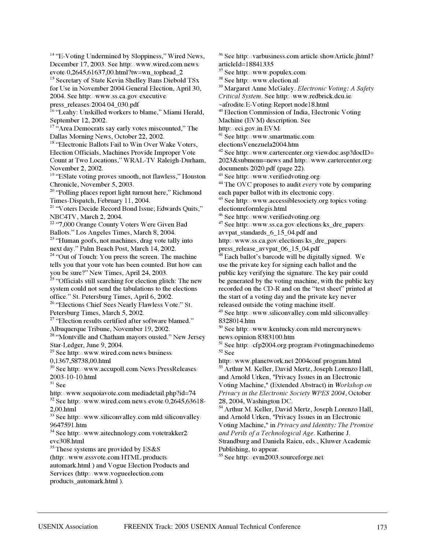December 17, 2003. See http://www.wired.com/news/ evote/0,2645,61637,00.html?tw=wn\_tophead\_2 <sup>15</sup> Secretary of State Kevin Shelley Bans Diebold TSx for Use in November 2004 General Election, April 30, 2004. See http://www.ss.ca.gov/executive/ press\_releases/2004/04\_030.pdf <sup>16</sup> "Leahy: Unskilled workers to blame," Miami Herald, September 12, 2002.  $17$  "Area Democrats say early votes miscounted," The Dallas Morning News, October 22, 2002. <sup>18</sup> "Electronic Ballots Fail to Win Over Wake Voters, Election Officials, Machines Provide Improper Vote Count at Two Locations," WRAL-TV Raleigh-Durham, November 2, 2002. <sup>19</sup> "ESlate voting proves smooth, not flawless," Houston Chronicle, November 5, 2003. <sup>20</sup> "Polling places report light turnout here," Richmond Times-Dispatch, February 11, 2004. <sup>21</sup> "Voters Decide Record Bond Issue; Edwards Quits," NBC4TV, March 2, 2004. <sup>22</sup> "7,000 Orange County Voters Were Given Bad Ballots." Los Angeles Times, March 8, 2004. <sup>23</sup> "Human goofs, not machines, drag vote tally into next day." Palm Beach Post, March 14, 2002. <sup>24</sup> "Out of Touch: You press the screen. The machine tells you that your vote has been counted. But how can you be sure?" New Times, April 24, 2003.  $25$  "Officials still searching for election glitch: The new system could not send the tabulations to the elections office." St. Petersburg Times, April 6, 2002. <sup>26</sup> "Elections Chief Sees Nearly Flawless Vote." St. Petersburg Times, March 5, 2002. <sup>27</sup> "Election results certified after software blamed." Albuquerque Tribune, November 19, 2002. <sup>28</sup> "Montville and Chatham mayors ousted." New Jersey Star-Ledger, June 9, 2004. <sup>29</sup> See http://www.wired.com/news/business/ 0,1367,58738,00.html <sup>30</sup> See http://www.accupoll.com/News/PressReleases/ 2003-10-10.html  $31$  See http://www.sequoiavote.com/mediadetail.php?id=74 <sup>32</sup> See http://www.wired.com/news/evote/0,2645,63618- 2,00.html  $33$  See http://www.siliconvalley.com/mld/siliconvalley/ 9647591.htm <sup>34</sup> See http://www.aitechnology.com/votetrakker2/ evc308.html  $35$  These systems are provided by ES&S (http://www.essvote.com/HTML/products/ automark.html ) and Vogue Election Products and Services (http://www.vogueelection.com/ products\_automark.html ).

<sup>14</sup> "E-Voting Undermined by Sloppiness," Wired News,

<sup>36</sup> See http://varbusiness.com/article/showArticle.jhtml? articleId=18841335

<sup>37</sup> See http://www.populex.com/

<sup>38</sup> See http://www.election.nl/

<sup>39</sup> Margaret Anne McGaley. *Electronic Voting: A Safety*

*Critical System*. See http://www.redbrick.dcu.ie/

~afrodite/E-Voting/Report/node18.html

<sup>40</sup> Election Commission of India, Electronic Voting

Machine (EVM) description. See

http://eci.gov.in/EVM/

<sup>41</sup> See http://www.smartmatic.com/

electionsVenezuela2004.htm

 $42$  See http://www.cartercenter.org/viewdoc.asp?docID= 2023&submenu=news and http://www.cartercenter.org/ documents/2020.pdf (page 22).

<sup>43</sup> See http://www.verifiedvoting.org/

<sup>44</sup> The OVC proposes to audit *every* vote by comparing each paper ballot with its electronic copy.

<sup>45</sup> See http://www.accessiblesociety.org/topics/voting/ electionreformlegis.html

<sup>46</sup> See http://www.verifiedvoting.org/

<sup>47</sup> See http://www.ss.ca.gov/elections/ks\_dre\_papers/

avvpat\_standards\_6\_15\_04.pdf and

http://www.ss.ca.gov/elections/ks\_dre\_papers/ press\_release\_avvpat\_06\_15\_04.pdf

<sup>48</sup> Each ballot's barcode will be digitally signed. We use the private key for signing each ballot and the public key verifying the signature. The key pair could be generated by the voting machine, with the public key recorded on the CD-R and on the "test sheet" printed at the start of a voting day and the private key never released outside the voting machine itself.

 $49$  See http://www.siliconvalley.com/mld/siliconvalley/ 8328014.htm

<sup>50</sup> See http://www.kentucky.com/mld/mercurynews/ news/opinion/8383100.htm

<sup>51</sup> See http://cfp2004.org/program/#votingmachinedemo <sup>52</sup> See

http://www.planetwork.net/2004conf/program.html <sup>53</sup> Arthur M. Keller, David Mertz, Joseph Lorenzo Hall, and Arnold Urken, "Privacy Issues in an Electronic Voting Machine," (Extended Abstract) in *Workshop on Privacy in the Electronic Society WPES 2004*, October 28, 2004, Washington DC.

<sup>54</sup> Arthur M. Keller, David Mertz, Joseph Lorenzo Hall, and Arnold Urken, "Privacy Issues in an Electronic Voting Machine," in *Privacy and Identity: The Promise and Perils of a Technological Age*. Katherine J. Strandburg and Daniela Raicu, eds., Kluwer Academic Publishing, to appear.

<sup>55</sup> See http://evm2003.sourceforge.net/